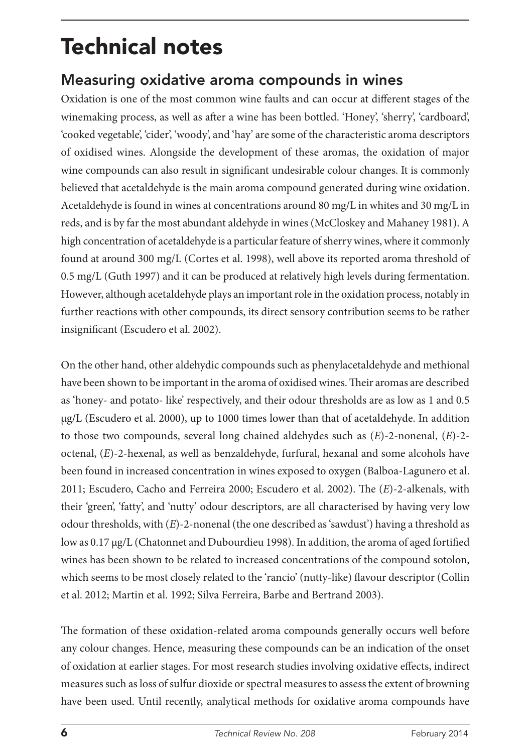## Technical notes

## Measuring oxidative aroma compounds in wines

Oxidation is one of the most common wine faults and can occur at different stages of the winemaking process, as well as after a wine has been bottled. 'Honey', 'sherry', 'cardboard', 'cooked vegetable', 'cider', 'woody', and 'hay' are some of the characteristic aroma descriptors of oxidised wines. Alongside the development of these aromas, the oxidation of major wine compounds can also result in significant undesirable colour changes. It is commonly believed that acetaldehyde is the main aroma compound generated during wine oxidation. Acetaldehyde is found in wines at concentrations around 80 mg/L in whites and 30 mg/L in reds, and is by far the most abundant aldehyde in wines (McCloskey and Mahaney 1981). A high concentration of acetaldehyde is a particular feature of sherry wines, where it commonly found at around 300 mg/L (Cortes et al. 1998), well above its reported aroma threshold of 0.5 mg/L (Guth 1997) and it can be produced at relatively high levels during fermentation. However, although acetaldehyde plays an important role in the oxidation process, notably in further reactions with other compounds, its direct sensory contribution seems to be rather insignificant (Escudero et al. 2002).

On the other hand, other aldehydic compounds such as phenylacetaldehyde and methional have been shown to be important in the aroma of oxidised wines. Their aromas are described as 'honey- and potato- like' respectively, and their odour thresholds are as low as 1 and 0.5 µg/L (Escudero et al. 2000), up to 1000 times lower than that of acetaldehyde. In addition to those two compounds, several long chained aldehydes such as (*E*)-2-nonenal, (*E*)-2 octenal, (*E*)-2-hexenal, as well as benzaldehyde, furfural, hexanal and some alcohols have been found in increased concentration in wines exposed to oxygen (Balboa-Lagunero et al. 2011; Escudero, Cacho and Ferreira 2000; Escudero et al. 2002). The (*E*)-2-alkenals, with their 'green', 'fatty', and 'nutty' odour descriptors, are all characterised by having very low odour thresholds, with (*E*)-2-nonenal (the one described as 'sawdust') having a threshold as low as 0.17 µg/L (Chatonnet and Dubourdieu 1998). In addition, the aroma of aged fortified wines has been shown to be related to increased concentrations of the compound sotolon, which seems to be most closely related to the 'rancio' (nutty-like) flavour descriptor (Collin et al. 2012; Martin et al. 1992; Silva Ferreira, Barbe and Bertrand 2003).

The formation of these oxidation-related aroma compounds generally occurs well before any colour changes. Hence, measuring these compounds can be an indication of the onset of oxidation at earlier stages. For most research studies involving oxidative effects, indirect measures such as loss of sulfur dioxide or spectral measures to assess the extent of browning have been used. Until recently, analytical methods for oxidative aroma compounds have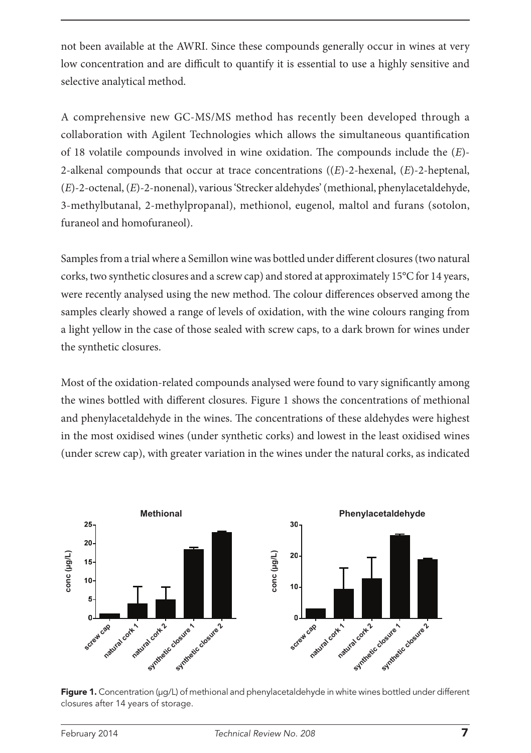not been available at the AWRI. Since these compounds generally occur in wines at very low concentration and are difficult to quantify it is essential to use a highly sensitive and selective analytical method.

A comprehensive new GC-MS/MS method has recently been developed through a collaboration with Agilent Technologies which allows the simultaneous quantification of 18 volatile compounds involved in wine oxidation. The compounds include the (*E*)- 2-alkenal compounds that occur at trace concentrations ((*E*)-2-hexenal, (*E*)-2-heptenal, (*E*)-2-octenal, (*E*)-2-nonenal), various 'Strecker aldehydes' (methional, phenylacetaldehyde, 3-methylbutanal, 2-methylpropanal), methionol, eugenol, maltol and furans (sotolon, furaneol and homofuraneol).

Samples from a trial where a Semillon wine was bottled under different closures (two natural corks, two synthetic closures and a screw cap) and stored at approximately 15°C for 14 years, were recently analysed using the new method. The colour differences observed among the samples clearly showed a range of levels of oxidation, with the wine colours ranging from a light yellow in the case of those sealed with screw caps, to a dark brown for wines under the synthetic closures.

Most of the oxidation-related compounds analysed were found to vary significantly among the wines bottled with different closures. Figure 1 shows the concentrations of methional and phenylacetaldehyde in the wines. The concentrations of these aldehydes were highest in the most oxidised wines (under synthetic corks) and lowest in the least oxidised wines (under screw cap), with greater variation in the wines under the natural corks, as indicated



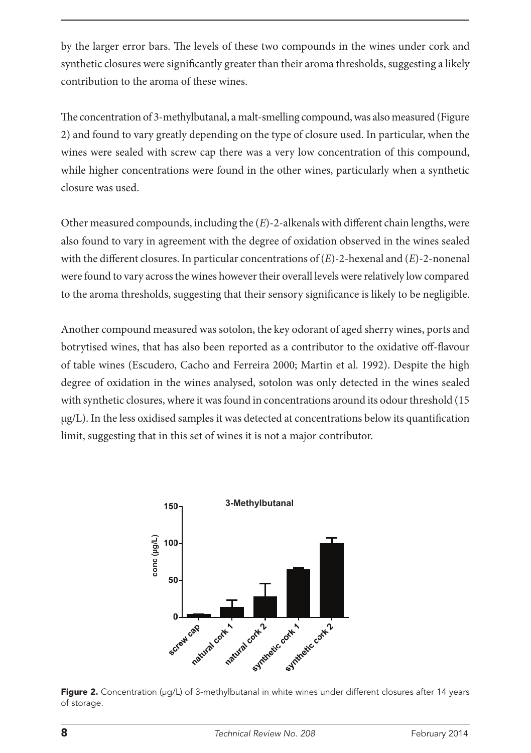by the larger error bars. The levels of these two compounds in the wines under cork and synthetic closures were significantly greater than their aroma thresholds, suggesting a likely contribution to the aroma of these wines.

The concentration of 3-methylbutanal, a malt-smelling compound, was also measured (Figure 2) and found to vary greatly depending on the type of closure used. In particular, when the wines were sealed with screw cap there was a very low concentration of this compound, while higher concentrations were found in the other wines, particularly when a synthetic closure was used.

Other measured compounds, including the (*E*)-2-alkenals with different chain lengths, were also found to vary in agreement with the degree of oxidation observed in the wines sealed with the different closures. In particular concentrations of (*E*)-2-hexenal and (*E*)-2-nonenal were found to vary across the wines however their overall levels were relatively low compared to the aroma thresholds, suggesting that their sensory significance is likely to be negligible.

Another compound measured was sotolon, the key odorant of aged sherry wines, ports and botrytised wines, that has also been reported as a contributor to the oxidative off-flavour of table wines (Escudero, Cacho and Ferreira 2000; Martin et al. 1992). Despite the high degree of oxidation in the wines analysed, sotolon was only detected in the wines sealed with synthetic closures, where it was found in concentrations around its odour threshold (15  $\mu$ g/L). In the less oxidised samples it was detected at concentrations below its quantification limit, suggesting that in this set of wines it is not a major contributor.



Figure 2. Concentration (µg/L) of 3-methylbutanal in white wines under different closures after 14 years of storage.